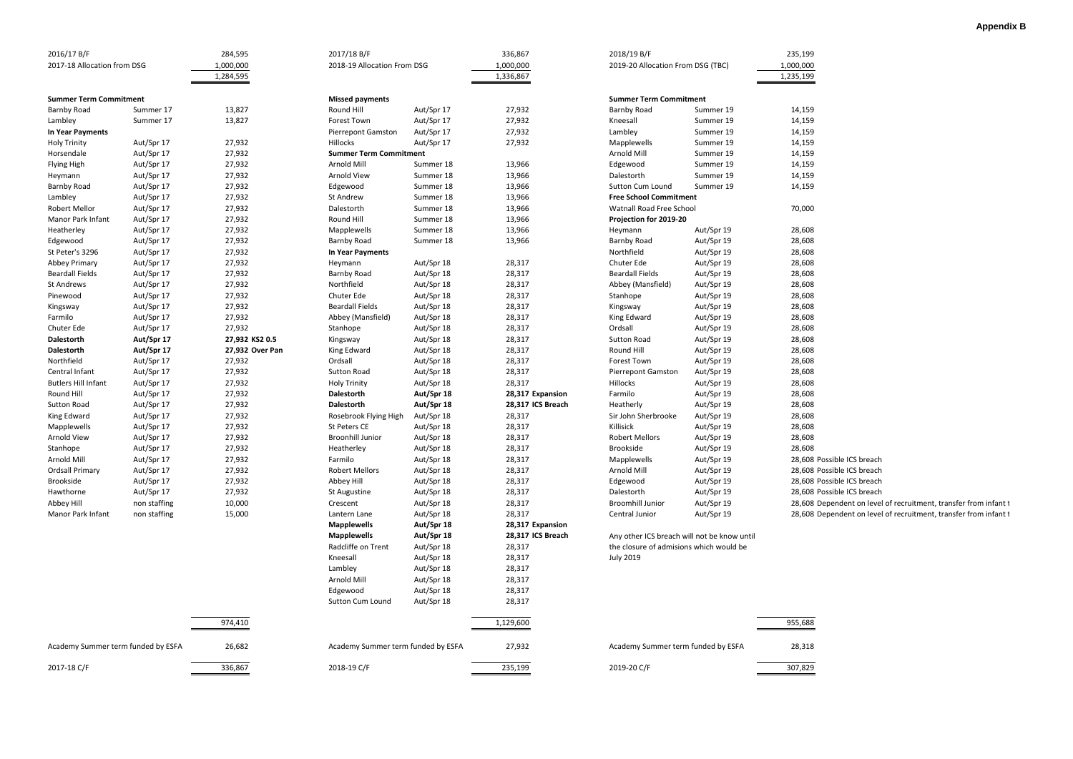## **Appendix B**

- 
- 
- )8 Possible ICS breach<br>)8 Possible ICS breach
- 
- 8 Possible ICS breach
- 8 Dependent on level of recruitment, transfer from infant t
- 18 Dependent on level of recruitment, transfer from infant t

- 
- 

| 2016/17 B/F<br>2017-18 Allocation from DSG |              | 284,595<br>1,000,000<br>1,284,595 | 2017/18 B/F<br>2018-19 Allocation From DSG |                          | 336,867<br>1,000,000<br>1,336,867 | 2018/19 B/F<br>2019-20 Allocation From DSG (TBC) |            | 235,199<br>1,000,000<br>1,235,199 |
|--------------------------------------------|--------------|-----------------------------------|--------------------------------------------|--------------------------|-----------------------------------|--------------------------------------------------|------------|-----------------------------------|
|                                            |              |                                   |                                            |                          |                                   |                                                  |            |                                   |
| <b>Summer Term Commitment</b>              |              |                                   | <b>Missed payments</b>                     |                          |                                   | <b>Summer Term Commitment</b>                    |            |                                   |
| <b>Barnby Road</b>                         | Summer 17    | 13,827                            | Round Hill                                 | Aut/Spr 17               | 27,932                            | <b>Barnby Road</b>                               | Summer 19  | 14,159                            |
| Lambley                                    | Summer 17    | 13,827                            | Forest Town                                | Aut/Spr 17               | 27,932                            | Kneesall                                         | Summer 19  | 14,159                            |
| In Year Payments                           |              |                                   | <b>Pierrepont Gamston</b>                  | Aut/Spr 17               | 27,932                            | Lambley                                          | Summer 19  | 14,159                            |
| <b>Holy Trinity</b>                        | Aut/Spr 17   | 27,932                            | Hillocks                                   | Aut/Spr 17               | 27,932                            | Mapplewells                                      | Summer 19  | 14,159                            |
| Horsendale                                 | Aut/Spr 17   | 27,932                            | <b>Summer Term Commitment</b>              |                          |                                   | Arnold Mill                                      | Summer 19  | 14,159                            |
| Flying High                                | Aut/Spr 17   | 27,932                            | Arnold Mill                                | Summer 18                | 13,966                            | Edgewood                                         | Summer 19  | 14,159                            |
| Heymann                                    | Aut/Spr 17   | 27,932                            | Arnold View                                | Summer 18                | 13,966                            | Dalestorth                                       | Summer 19  | 14,159                            |
| <b>Barnby Road</b>                         | Aut/Spr 17   | 27,932                            | Edgewood                                   | Summer 18                | 13,966                            | Sutton Cum Lound                                 | Summer 19  | 14,159                            |
| Lambley                                    | Aut/Spr 17   | 27,932                            | St Andrew                                  | Summer 18                | 13,966                            | <b>Free School Commitment</b>                    |            |                                   |
| <b>Robert Mellor</b>                       | Aut/Spr 17   | 27,932                            | Dalestorth                                 | Summer 18                | 13,966                            | Watnall Road Free School                         |            | 70,000                            |
| Manor Park Infant                          | Aut/Spr 17   | 27,932                            | Round Hill                                 | Summer 18                | 13,966                            | Projection for 2019-20                           |            |                                   |
| Heatherley                                 | Aut/Spr 17   | 27,932                            | Mapplewells                                | Summer 18                | 13,966                            | Heymann                                          | Aut/Spr 19 | 28,608                            |
| Edgewood                                   | Aut/Spr 17   | 27,932                            | <b>Barnby Road</b>                         | Summer 18                | 13,966                            | <b>Barnby Road</b>                               | Aut/Spr 19 | 28,608                            |
| St Peter's 3296                            | Aut/Spr 17   | 27,932                            | In Year Payments                           |                          |                                   | Northfield                                       | Aut/Spr 19 | 28,608                            |
| <b>Abbey Primary</b>                       | Aut/Spr 17   | 27,932                            | Heymann                                    | Aut/Spr 18               | 28,317                            | Chuter Ede                                       | Aut/Spr 19 | 28,608                            |
| <b>Beardall Fields</b>                     | Aut/Spr 17   | 27,932                            | <b>Barnby Road</b>                         | Aut/Spr 18               | 28,317                            | <b>Beardall Fields</b>                           | Aut/Spr 19 | 28,608                            |
| <b>St Andrews</b>                          | Aut/Spr 17   | 27,932                            | Northfield                                 | Aut/Spr 18               | 28,317                            | Abbey (Mansfield)                                | Aut/Spr 19 | 28,608                            |
| Pinewood                                   | Aut/Spr 17   | 27,932                            | Chuter Ede                                 | Aut/Spr 18               | 28,317                            | Stanhope                                         | Aut/Spr 19 | 28,608                            |
| Kingsway                                   | Aut/Spr 17   | 27,932                            | <b>Beardall Fields</b>                     | Aut/Spr 18               | 28,317                            | Kingsway                                         | Aut/Spr 19 | 28,608                            |
| Farmilo                                    | Aut/Spr 17   | 27,932                            | Abbey (Mansfield)                          | Aut/Spr 18               | 28,317                            | King Edward                                      | Aut/Spr 19 | 28,608                            |
| Chuter Ede                                 | Aut/Spr 17   | 27,932                            | Stanhope                                   | Aut/Spr 18               | 28,317                            | Ordsall                                          | Aut/Spr 19 | 28,608                            |
| Dalestorth                                 | Aut/Spr 17   | 27,932 KS2 0.5                    | Kingsway                                   | Aut/Spr 18               | 28,317                            | <b>Sutton Road</b>                               | Aut/Spr 19 | 28,608                            |
| Dalestorth                                 | Aut/Spr 17   | 27,932 Over Pan                   | King Edward                                | Aut/Spr 18               | 28,317                            | Round Hill                                       | Aut/Spr 19 | 28,608                            |
| Northfield                                 | Aut/Spr 17   | 27,932                            | Ordsall                                    | Aut/Spr 18               | 28,317                            | Forest Town                                      | Aut/Spr 19 | 28,608                            |
| Central Infant                             | Aut/Spr 17   | 27,932                            | Sutton Road                                | Aut/Spr 18               | 28,317                            | <b>Pierrepont Gamston</b>                        | Aut/Spr 19 | 28,608                            |
| <b>Butlers Hill Infant</b>                 | Aut/Spr 17   | 27,932                            | <b>Holy Trinity</b>                        | Aut/Spr 18               | 28,317                            | Hillocks                                         | Aut/Spr 19 | 28,608                            |
| Round Hill                                 | Aut/Spr 17   | 27,932                            | <b>Dalestorth</b>                          | Aut/Spr 18               | 28,317 Expansion                  | Farmilo                                          | Aut/Spr 19 | 28,608                            |
| <b>Sutton Road</b>                         | Aut/Spr 17   | 27,932                            | <b>Dalestorth</b>                          | Aut/Spr 18               | 28,317 ICS Breach                 | Heatherly                                        | Aut/Spr 19 | 28,608                            |
| King Edward                                | Aut/Spr 17   | 27,932                            | Rosebrook Flying High                      | Aut/Spr 18               | 28,317                            | Sir John Sherbrooke                              | Aut/Spr 19 | 28,608                            |
| Mapplewells                                | Aut/Spr 17   | 27,932                            | St Peters CE                               | Aut/Spr 18               | 28,317                            | Killisick                                        | Aut/Spr 19 | 28,608                            |
| Arnold View                                | Aut/Spr 17   | 27,932                            | <b>Broonhill Junior</b>                    | Aut/Spr 18               | 28,317                            | <b>Robert Mellors</b>                            | Aut/Spr 19 | 28,608                            |
| Stanhope                                   | Aut/Spr 17   | 27,932                            | Heatherley                                 | Aut/Spr 18               | 28,317                            | Brookside                                        | Aut/Spr 19 | 28,608                            |
| Arnold Mill                                | Aut/Spr 17   | 27,932                            | Farmilo                                    | Aut/Spr 18               | 28,317                            | Mapplewells                                      | Aut/Spr 19 | 28,608 Possible ICS breach        |
| <b>Ordsall Primary</b>                     | Aut/Spr 17   | 27,932                            | <b>Robert Mellors</b>                      | Aut/Spr 18               | 28,317                            | Arnold Mill                                      | Aut/Spr 19 | 28,608 Possible ICS breach        |
| Brookside                                  | Aut/Spr 17   | 27,932                            |                                            | Aut/Spr 18               | 28,317                            | Edgewood                                         | Aut/Spr 19 | 28,608 Possible ICS breach        |
| Hawthorne                                  | Aut/Spr 17   | 27,932                            | Abbey Hill                                 | Aut/Spr 18               | 28,317                            | Dalestorth                                       | Aut/Spr 19 | 28,608 Possible ICS breach        |
|                                            |              |                                   | St Augustine                               |                          |                                   |                                                  |            |                                   |
| Abbey Hill                                 | non staffing | 10,000                            | Crescent                                   | Aut/Spr 18               | 28,317                            | <b>Broomhill Junior</b>                          | Aut/Spr 19 | 28,608 Dependent on leve          |
| Manor Park Infant                          | non staffing | 15,000                            | Lantern Lane                               | Aut/Spr 18               | 28,317                            | Central Junior                                   | Aut/Spr 19 | 28,608 Dependent on leve          |
|                                            |              |                                   | <b>Mapplewells</b>                         | Aut/Spr 18               | 28,317 Expansion                  |                                                  |            |                                   |
|                                            |              |                                   | <b>Mapplewells</b>                         | Aut/Spr 18               | 28,317 ICS Breach                 | Any other ICS breach will not be know until      |            |                                   |
|                                            |              |                                   | Radcliffe on Trent                         | Aut/Spr 18               | 28,317                            | the closure of admisions which would be          |            |                                   |
|                                            |              |                                   | Kneesall                                   | Aut/Spr 18               | 28,317                            | <b>July 2019</b>                                 |            |                                   |
|                                            |              |                                   | Lambley                                    | Aut/Spr 18               | 28,317                            |                                                  |            |                                   |
|                                            |              |                                   | Arnold Mill                                | Aut/Spr 18               | 28,317                            |                                                  |            |                                   |
|                                            |              |                                   | Edgewood<br>Sutton Cum Lound               | Aut/Spr 18<br>Aut/Spr 18 | 28,317<br>28,317                  |                                                  |            |                                   |
|                                            |              | 974,410                           |                                            |                          | 1,129,600                         |                                                  |            | 955,688                           |
| Academy Summer term funded by ESFA         |              | 26,682                            | Academy Summer term funded by ESFA         |                          | 27,932                            | Academy Summer term funded by ESFA               |            | 28,318                            |
| 2017-18 C/F                                |              | 336,867                           | 2018-19 C/F                                |                          | 235,199                           | 2019-20 C/F                                      |            | 307,829                           |